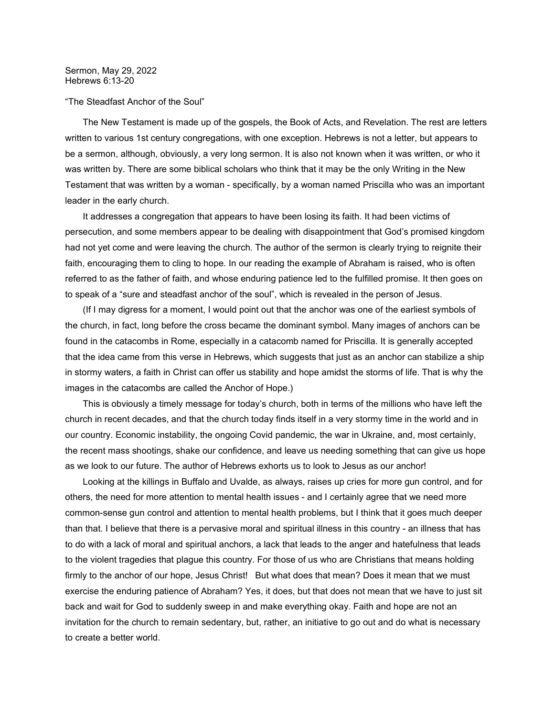## "The Steadfast Anchor of the Soul"

 The New Testament is made up of the gospels, the Book of Acts, and Revelation. The rest are letters written to various 1st century congregations, with one exception. Hebrews is not a letter, but appears to be a sermon, although, obviously, a very long sermon. It is also not known when it was written, or who it was written by. There are some biblical scholars who think that it may be the only Writing in the New Testament that was written by a woman - specifically, by a woman named Priscilla who was an important leader in the early church.

 It addresses a congregation that appears to have been losing its faith. It had been victims of persecution, and some members appear to be dealing with disappointment that God's promised kingdom had not yet come and were leaving the church. The author of the sermon is clearly trying to reignite their faith, encouraging them to cling to hope. In our reading the example of Abraham is raised, who is often referred to as the father of faith, and whose enduring patience led to the fulfilled promise. It then goes on to speak of a "sure and steadfast anchor of the soul", which is revealed in the person of Jesus.

 (If I may digress for a moment, I would point out that the anchor was one of the earliest symbols of the church, in fact, long before the cross became the dominant symbol. Many images of anchors can be found in the catacombs in Rome, especially in a catacomb named for Priscilla. It is generally accepted that the idea came from this verse in Hebrews, which suggests that just as an anchor can stabilize a ship in stormy waters, a faith in Christ can offer us stability and hope amidst the storms of life. That is why the images in the catacombs are called the Anchor of Hope.)

 This is obviously a timely message for today's church, both in terms of the millions who have left the church in recent decades, and that the church today finds itself in a very stormy time in the world and in our country. Economic instability, the ongoing Covid pandemic, the war in Ukraine, and, most certainly, the recent mass shootings, shake our confidence, and leave us needing something that can give us hope as we look to our future. The author of Hebrews exhorts us to look to Jesus as our anchor!

 Looking at the killings in Buffalo and Uvalde, as always, raises up cries for more gun control, and for others, the need for more attention to mental health issues - and I certainly agree that we need more common-sense gun control and attention to mental health problems, but I think that it goes much deeper than that. I believe that there is a pervasive moral and spiritual illness in this country - an illness that has to do with a lack of moral and spiritual anchors, a lack that leads to the anger and hatefulness that leads to the violent tragedies that plague this country. For those of us who are Christians that means holding firmly to the anchor of our hope, Jesus Christ! But what does that mean? Does it mean that we must exercise the enduring patience of Abraham? Yes, it does, but that does not mean that we have to just sit back and wait for God to suddenly sweep in and make everything okay. Faith and hope are not an invitation for the church to remain sedentary, but, rather, an initiative to go out and do what is necessary to create a better world.